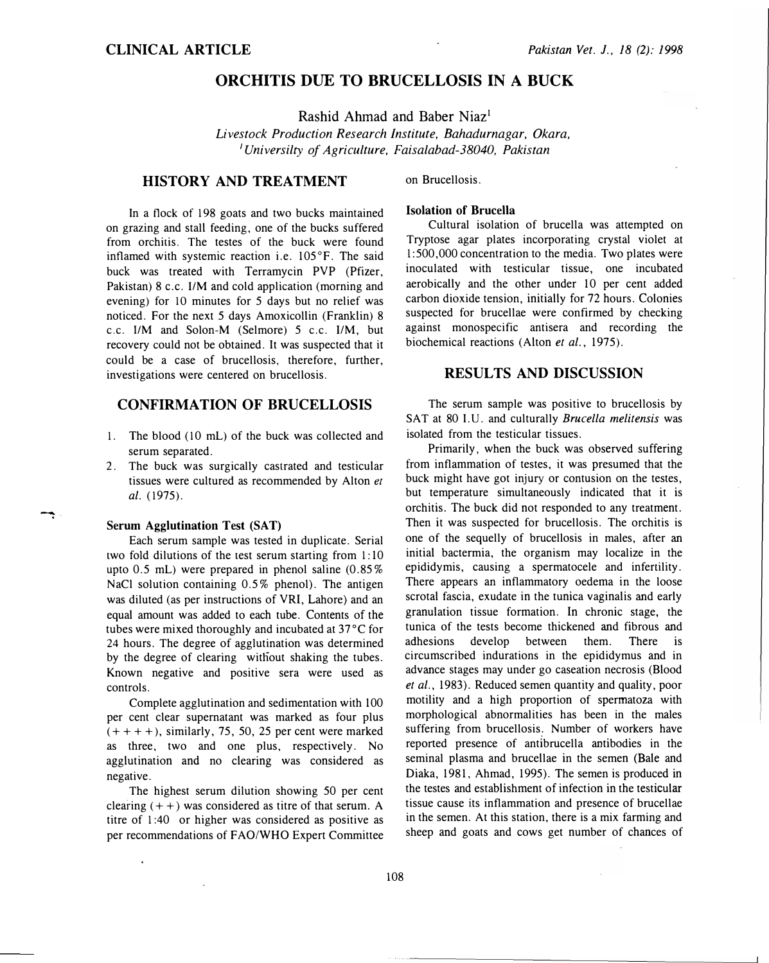# ORCHITIS DUE TO BRUCELLOSIS IN A BUCK

Rashid Ahmad and Baber Niaz<sup>1</sup>

Livestock Production Research Institute, Bahadurnagar, Okara, <sup>1</sup>Universilty of Agriculture, Faisalabad-38040, Pakistan

### HISTORY AND TREATMENT

In a flock of 198 goats and two bucks maintained on grazing and stall feeding, one of the bucks suffered from orchitis. The testes of the buck were found inflamed with systemic reaction i.e. 105°F. The said buck was treated with Terramycin PVP (Pfizer, Pakistan) 8 c.c. I/M and cold application (morning and evening) for 10 minutes for 5 days but no relief was noticed. For the next 5 days Amoxicollin (Franklin) 8 c.c. liM and Solon-M (Selmore) 5 c.c. 1/M, but recovery could not be obtained. It was suspected that it could be a case of brucellosis, therefore, further, investigations were centered on brucellosis.

### CONFIRMATION OF BRUCELLOSIS

- 1. The blood (10 mL) of the buck was collected and serum separated.
- 2. The buck was surgically castrated and testicular tissues were cultured as recommended by Alton et al. (1975).

#### Serum Agglutination Test (SAT)

Each serum sample was tested in duplicate. Serial two fold dilutions of the test serum starting from 1: 10 upto  $0.5$  mL) were prepared in phenol saline  $(0.85\%$ NaCl solution containing 0.5% phenol). The antigen was diluted (as per instructions of VRI, Lahore) and an equal amount was added to each tube. Contents of the tubes were mixed thoroughly and incubated at 37°C for 24 hours. The degree of agglutination was determined by the degree of clearing witliout shaking the tubes. Known negative and positive sera were used as controls.

Complete agglutination and sedimentation with 100 per cent clear supernatant was marked as four plus  $(+ + + +)$ , similarly, 75, 50, 25 per cent were marked as three, two and one plus, respectively. No agglutination and no clearing was considered as negative.

The highest serum dilution showing 50 per cent clearing  $(+ +)$  was considered as titre of that serum. A titre of 1 :40 or higher was considered as positive as per recommendations of FAO/WHO Expert Committee on Brucellosis.

### Isolation of Brucella

Cultural isolation of brucella was attempted on Tryptose agar plates incorporating crystal violet at l :500,000 concentration to the media. Two plates were inoculated with testicular tissue, one incubated aerobically and the other under 10 per cent added carbon dioxide tension, initially for 72 hours. Colonies suspected for brucellae were confirmed by checking against monospecific antisera and recording the biochemical reactions (Alton et al., 1975).

### RESULTS AND DISCUSSION

The serum sample was positive to brucellosis by SAT at 80 I.U. and culturally Brucella melitensis was isolated from the testicular tissues.

Primarily, when the buck was observed suffering from inflammation of testes, it was presumed that the buck might have got injury or contusion on the testes, but temperature simultaneously indicated that it is orchitis. The buck did not responded to any treatment. Then it was suspected for brucellosis. The orchitis is one of the sequelly of brucellosis in males, after an initial bactermia, the organism may localize in the epididymis, causing a spermatocele and infertility. There appears an inflammatory oedema in the loose scrotal fascia, exudate in the tunica vaginalis and early granulation tissue formation. In chronic stage, the tunica of the tests become thickened and fibrous and adhesions develop between them. There is circumscribed indurations in the epididymus and in advance stages may under go caseation necrosis (Blood et al., 1983). Reduced semen quantity and quality, poor motility and a high proportion of spermatoza with morphological abnormalities has been in the males suffering from brucellosis. Number of workers have reported presence of antibrucella antibodies in the seminal plasma and brucellae in the semen (Bale and Diaka, 1981, Ahmad, 1995). The semen is produced in the testes and establishment of infection in the testicular tissue cause its inflammation and presence of brucellae in the semen. At this station, there is a mix farming and sheep and goats and cows get number of chances of